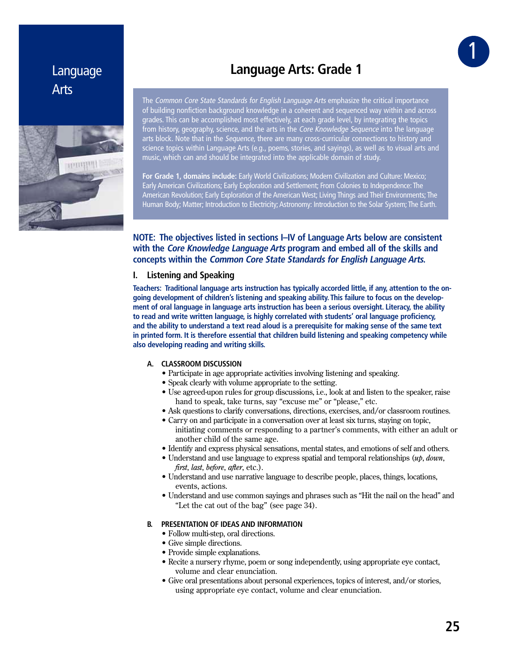# Language Arts



# **Language Arts: Grade 1**

The Common Core State Standards for English Language Arts emphasize the critical importance of building nonfiction background knowledge in a coherent and sequenced way within and across grades. This can be accomplished most effectively, at each grade level, by integrating the topics from history, geography, science, and the arts in the *Core Knowledge Sequence* into the language arts block. Note that in the Sequence, there are many cross-curricular connections to history and science topics within Language Arts (e.g., poems, stories, and sayings), as well as to visual arts and music, which can and should be integrated into the applicable domain of study.

**For Grade 1, domains include:** Early World Civilizations; Modern Civilization and Culture: Mexico; Early American Civilizations; Early Exploration and Settlement; From Colonies to Independence: The American Revolution; Early Exploration of the American West; Living Things and Their Environments; The Human Body; Matter; Introduction to Electricity; Astronomy: Introduction to the Solar System; The Earth.

# **NOTE: The objectives listed in sections I–IV of Language Arts below are consistent with the Core Knowledge Language Arts program and embed all of the skills and concepts within the Common Core State Standards for English Language Arts.**

# **I. Listening and Speaking**

**Teachers: Traditional language arts instruction has typically accorded little, if any, attention to the ongoing development of children's listening and speaking ability. This failure to focus on the development of oral language in language arts instruction has been a serious oversight. Literacy, the ability to read and write written language, is highly correlated with students' oral language proficiency, and the ability to understand a text read aloud is a prerequisite for making sense of the same text in printed form. It is therefore essential that children build listening and speaking competency while also developing reading and writing skills.**

# **A. CLASSROOM DISCUSSION**

- Participate in age appropriate activities involving listening and speaking.
- Speak clearly with volume appropriate to the setting.
- Use agreed-upon rules for group discussions, i.e., look at and listen to the speaker, raise hand to speak, take turns, say "excuse me" or "please," etc.
- Ask questions to clarify conversations, directions, exercises, and/or classroom routines.
- Carry on and participate in a conversation over at least six turns, staying on topic, initiating comments or responding to a partner's comments, with either an adult or another child of the same age.
- Identify and express physical sensations, mental states, and emotions of self and others.
- Understand and use language to express spatial and temporal relationships  $(u p, d o w n, d w w n$ *first, last, before, after, etc.).*
- Understand and use narrative language to describe people, places, things, locations, events, actions.
- Understand and use common sayings and phrases such as "Hit the nail on the head" and "Let the cat out of the bag" (see page 34).

## **B. PRESENTATION OF IDEAS AND INFORMATION**

- Follow multi-step, oral directions.
- Give simple directions.
- Provide simple explanations.
- Recite a nursery rhyme, poem or song independently, using appropriate eve contact, volume and clear enunciation.
- Give oral presentations about personal experiences, topics of interest, and/or stories, using appropriate eye contact, volume and clear enunciation.

1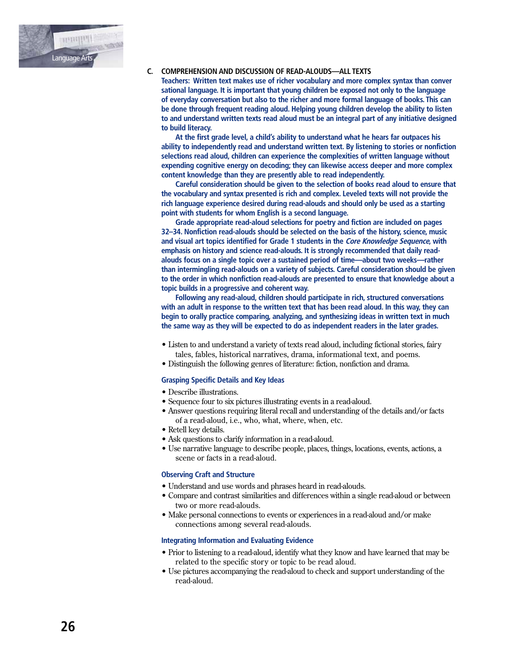

## **C. COMPREHENSION AND DISCUSSION OF READ-ALOUDS—ALL TEXTS**

 **Teachers: Written text makes use of richer vocabulary and more complex syntax than conver sational language. It is important that young children be exposed not only to the language of everyday conversation but also to the richer and more formal language of books. This can be done through frequent reading aloud. Helping young children develop the ability to listen to and understand written texts read aloud must be an integral part of any initiative designed to build literacy.** 

 **At the first grade level, a child's ability to understand what he hears far outpaces his ability to independently read and understand written text. By listening to stories or nonfiction selections read aloud, children can experience the complexities of written language without expending cognitive energy on decoding; they can likewise access deeper and more complex content knowledge than they are presently able to read independently.**

 **Careful consideration should be given to the selection of books read aloud to ensure that the vocabulary and syntax presented is rich and complex. Leveled texts will not provide the rich language experience desired during read-alouds and should only be used as a starting point with students for whom English is a second language.**

 **Grade appropriate read-aloud selections for poetry and fiction are included on pages 32–34. Nonfiction read-alouds should be selected on the basis of the history, science, music and visual art topics identified for Grade 1 students in the Core Knowledge Sequence, with emphasis on history and science read-alouds. It is strongly recommended that daily read alouds focus on a single topic over a sustained period of time—about two weeks—rather than intermingling read-alouds on a variety of subjects. Careful consideration should be given to the order in which nonfiction read-alouds are presented to ensure that knowledge about a topic builds in a progressive and coherent way.**

 **Following any read-aloud, children should participate in rich, structured conversations with an adult in response to the written text that has been read aloud. In this way, they can begin to orally practice comparing, analyzing, and synthesizing ideas in written text in much the same way as they will be expected to do as independent readers in the later grades.**

- Listen to and understand a variety of texts read aloud, including fictional stories, fairy tales, fables, historical narratives, drama, informational text, and poems.
- Distinguish the following genres of literature: fiction, nonfiction and drama.

#### **Grasping Specific Details and Key Ideas**

- Describe illustrations.
- Sequence four to six pictures illustrating events in a read-aloud.
- Answer questions requiring literal recall and understanding of the details and/or facts of a read-aloud, i.e., who, what, where, when, etc.
- Retell key details.
- Ask questions to clarify information in a read-aloud.
- Use narrative language to describe people, places, things, locations, events, actions, a scene or facts in a read-aloud.

#### **Observing Craft and Structure**

- Understand and use words and phrases heard in read-alouds.
- Compare and contrast similarities and differences within a single read-aloud or between two or more read-alouds.
- Make personal connections to events or experiences in a read-aloud and/or make connections among several read-alouds.

# **Integrating Information and Evaluating Evidence**

- Prior to listening to a read-aloud, identify what they know and have learned that may be related to the specific story or topic to be read aloud.
- Use pictures accompanying the read-aloud to check and support understanding of the read-aloud.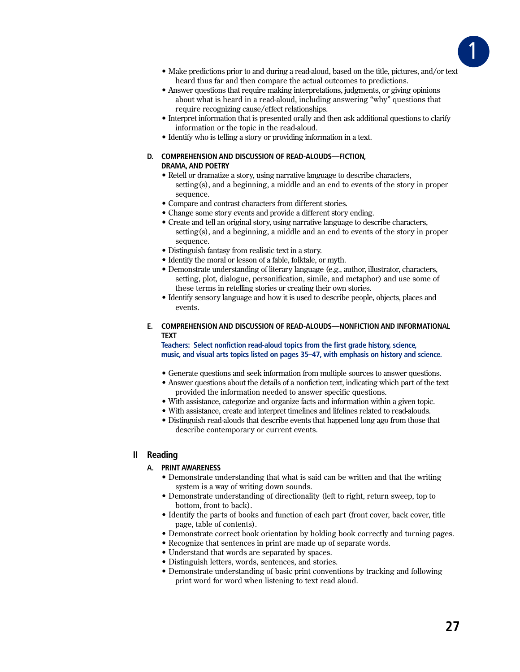

- Make predictions prior to and during a read-aloud, based on the title, pictures, and/or text heard thus far and then compare the actual outcomes to predictions.
- Answer questions that require making interpretations, judgments, or giving opinions about what is heard in a read-aloud, including answering "why" questions that require recognizing cause/effect relationships.
- Interpret information that is presented orally and then ask additional questions to clarify information or the topic in the read-aloud.
- Identify who is telling a story or providing information in a text.

#### D. COMPREHENSION AND DISCUSSION OF READ-ALOUDS-FICTION. **DRAMA, AND POETRY**

- Retell or dramatize a story, using narrative language to describe characters, setting(s), and a beginning, a middle and an end to events of the story in proper sequence.
- Compare and contrast characters from different stories.
- Change some story events and provide a different story ending.
- Create and tell an original story, using narrative language to describe characters, setting(s), and a beginning, a middle and an end to events of the story in proper sequence.
- Distinguish fantasy from realistic text in a story.
- Identify the moral or lesson of a fable, folktale, or myth.
- Demonstrate understanding of literary language (e.g., author, illustrator, characters, setting, plot, dialogue, personification, simile, and metaphor) and use some of these terms in retelling stories or creating their own stories.
- Identify sensory language and how it is used to describe people, objects, places and events.
- E. COMPREHENSION AND DISCUSSION OF READ-ALOUDS-NONFICTION AND INFORMATIONAL **TFXT**

Teachers: Select nonfiction read-aloud topics from the first grade history, science, music, and visual arts topics listed on pages 35-47, with emphasis on history and science.

- Generate questions and seek information from multiple sources to answer questions.
- Answer questions about the details of a nonfiction text, indicating which part of the text provided the information needed to answer specific questions.
- With assistance, categorize and organize facts and information within a given topic.
- With assistance, create and interpret timelines and lifelines related to read-alouds.
- Distinguish read-alouds that describe events that happened long ago from those that describe contemporary or current events.

# II Reading

## A. PRINT AWARENESS

- Demonstrate understanding that what is said can be written and that the writing system is a way of writing down sounds.
- Demonstrate understanding of directionality (left to right, return sweep, top to bottom, front to back).
- Identify the parts of books and function of each part (front cover, back cover, title page, table of contents).
- Demonstrate correct book orientation by holding book correctly and turning pages.
- Recognize that sentences in print are made up of separate words.
- Understand that words are separated by spaces.
- Distinguish letters, words, sentences, and stories.
- Demonstrate understanding of basic print conventions by tracking and following print word for word when listening to text read aloud.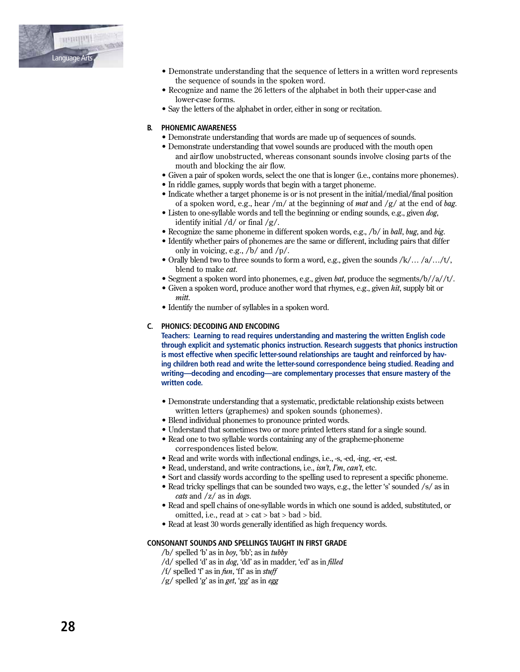

- Demonstrate understanding that the sequence of letters in a written word represents the sequence of sounds in the spoken word.
- Recognize and name the 26 letters of the alphabet in both their upper-case and lower-case forms.
- Say the letters of the alphabet in order, either in song or recitation.

# **B. PHONEMIC AWARENESS**

- Demonstrate understanding that words are made up of sequences of sounds.
- Demonstrate understanding that vowel sounds are produced with the mouth open and airflow unobstructed, whereas consonant sounds involve closing parts of the mouth and blocking the air flow.
- Given a pair of spoken words, select the one that is longer (i.e., contains more phonemes).
- In riddle games, supply words that begin with a target phoneme.
- Indicate whether a target phoneme is or is not present in the initial/medial/final position of a spoken word, e.g., hear /m/ at the beginning of *mat* and /g/ at the end of *bag*.
- Listen to one-syllable words and tell the beginning or ending sounds, e.g., given dog, identify initial  $/d/$  or final  $/g/$ .
- Recognize the same phoneme in different spoken words, e.g.,  $/b/$  in *ball, bug,* and *big.*
- Identify whether pairs of phonemes are the same or different, including pairs that differ only in voicing, e.g.,  $/b/$  and  $/p/$ .
- Orally blend two to three sounds to form a word, e.g., given the sounds  $/k/$ ...  $/a/$ .../t/, blend to make *cat*.
- Segment a spoken word into phonemes, e.g., given bat, produce the segments/ $b//a//t/$ .
- Given a spoken word, produce another word that rhymes, e.g., given hit, supply bit or mitt
- Identify the number of syllables in a spoken word.

## C. PHONICS: DECODING AND ENCODING

Teachers: Learning to read requires understanding and mastering the written English code through explicit and systematic phonics instruction. Research suggests that phonics instruction is most effective when specific letter-sound relationships are taught and reinforced by having children both read and write the letter-sound correspondence being studied. Reading and writing—decoding and encoding—are complementary processes that ensure mastery of the written code.

- Demonstrate understanding that a systematic, predictable relationship exists between written letters (graphemes) and spoken sounds (phonemes).
- Blend individual phonemes to pronounce printed words.
- Understand that sometimes two or more printed letters stand for a single sound.
- Read one to two syllable words containing any of the grapheme-phoneme correspondences listed below.
- Read and write words with inflectional endings, i.e., -s, -ed, -ing, -er, -est.
- Read, understand, and write contractions, i.e.,  $isn't$ ,  $\Gamma m$ ,  $can't$ , etc.
- Sort and classify words according to the spelling used to represent a specific phoneme.
- Read tricky spellings that can be sounded two ways, e.g., the letter 's' sounded /s/ as in *cats* and  $\left| z \right|$  as in *dogs*.
- Read and spell chains of one-syllable words in which one sound is added, substituted, or omitted, i.e., read at  $>$  cat  $>$  bat  $>$  bad  $>$  bid.
- Read at least 30 words generally identified as high frequency words.

## **CONSONANT SOUNDS AND SPELLINGS TAUGHT IN FIRST GRADE**

- $/b$  spelled 'b' as in *boy*, 'bb'; as in *tubby*
- /d/ spelled 'd' as in *dog*, 'dd' as in madder, 'ed' as in *filled*
- /f/ spelled 'f' as in  $fun$ , 'ff' as in stuff
- $/g$  spelled 'g' as in *get*, 'gg' as in *egg*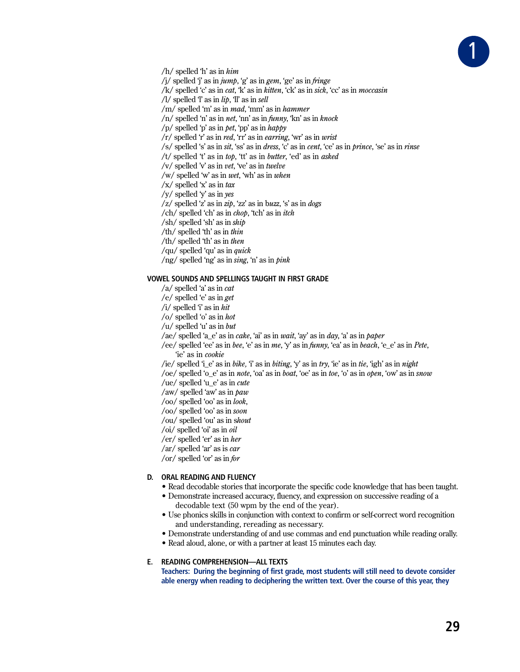

 $/h/$  spelled 'h' as in  $him$ 

/i/ spelled 'i' as in  $\dot{\eta}$   $m\eta$ , 'g' as in *gem*, 'ge' as in *fringe* 

/k/ spelled 'c' as in *cat*, 'k' as in *kitten*, 'ck' as in *sick*, 'cc' as in *moccasin* 

/l/ spelled  $T$  as in  $lip$ ,  $T$  as in sell

/m/ spelled 'm' as in *mad*, 'mm' as in *hammer* 

 $/n/$  spelled 'n' as in *net*, 'nn' as in *funny*, 'kn' as in *knock* 

/ $p/$  spelled 'p' as in *bet*, 'pp' as in *happy* 

 $\langle r \rangle$  spelled 'r' as in *red*, 'rr' as in *earring*, 'wr' as in *wrist* 

/s/ spelled 's' as in sit, 'ss' as in *dress*, 'c' as in *cent*, 'ce' as in *prince*, 'se' as in *rinse* 

/t/ spelled 't' as in top, 'tt' as in butter, 'ed' as in asked

/v/ spelled 'v' as in  $vet$ , 've' as in twelve

/w/ spelled 'w' as in wet, 'wh' as in when

 $\sqrt{x}$  spelled 'x' as in tax

 $/y$  spelled  $y'$  as in yes

 $\langle z \rangle$  spelled 'z' as in zip, 'zz' as in buzz, 's' as in dogs

/ch/ spelled 'ch' as in *chop*, 'tch' as in *itch* 

 $\sin(\sinh\theta)$  spelled 'sh' as in  $\sinh\theta$ 

/th/ spelled 'th' as in thin

/th/ spelled 'th' as in then

/qu/ spelled 'qu' as in *quick* 

/ng/ spelled 'ng' as in sing, 'n' as in pink

### **VOWEL SOUNDS AND SPELLINGS TAUGHT IN FIRST GRADE**

 $/a$  spelled 'a' as in *cat* 

/e/ spelled 'e' as in get

/i/ spelled 'i' as in  $hit$ 

/o/ spelled 'o' as in hot

 $/u$  spelled 'u' as in but

/ae/ spelled 'a\_e' as in *cake*, 'ai' as in *wait*, 'ay' as in *day*, 'a' as in *paper* 

/ee/ spelled 'ee' as in bee, 'e' as in me, 'y' as in funny, 'ea' as in beach, 'e\_e' as in Pete, 'ie' as in *cookie* 

/ie/ spelled 'i\_e' as in bike, 'i' as in biting, 'y' as in try, 'ie' as in tie, 'igh' as in night

/oe/ spelled 'o\_e' as in note, 'oa' as in boat, 'oe' as in toe, 'o' as in open, 'ow' as in snow

/ue/ spelled 'u\_e' as in *cute* 

/aw/ spelled 'aw' as in  $\beta$ aw

 $/$ oo/ spelled 'oo' as in look,

/oo/ spelled 'oo' as in soon

/ou/ spelled 'ou' as in shout

/oi/ spelled 'oi' as in  $oil$ 

/er/ spelled 'er' as in her

/ar/ spelled 'ar' as is  $car$ 

/or/ spelled 'or' as in  $for$ 

## D. ORAL READING AND FLUENCY

• Read decodable stories that incorporate the specific code knowledge that has been taught.

• Demonstrate increased accuracy, fluency, and expression on successive reading of a decodable text (50 wpm by the end of the year).

• Use phonics skills in conjunction with context to confirm or self-correct word recognition and understanding, rereading as necessary.

• Demonstrate understanding of and use commas and end punctuation while reading orally.

• Read aloud, alone, or with a partner at least 15 minutes each day.

#### E. READING COMPREHENSION-ALL TEXTS

Teachers: During the beginning of first grade, most students will still need to devote consider able energy when reading to deciphering the written text. Over the course of this year, they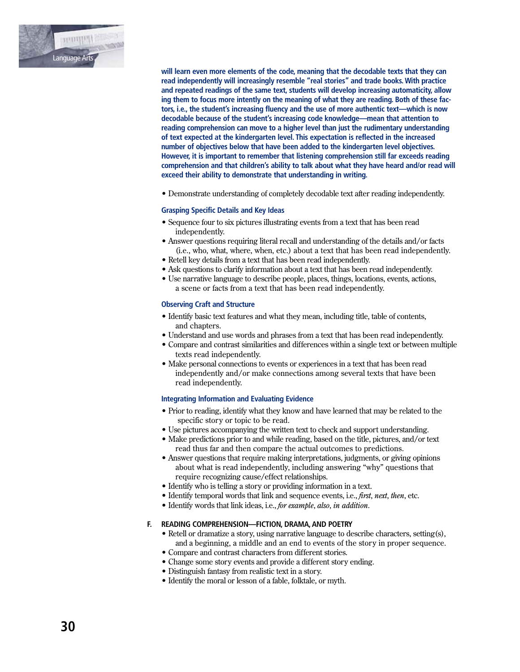

 **will learn even more elements of the code, meaning that the decodable texts that they can read independently will increasingly resemble "real stories" and trade books. With practice and repeated readings of the same text, students will develop increasing automaticity, allow ing them to focus more intently on the meaning of what they are reading. Both of these fac tors, i.e., the student's increasing fluency and the use of more authentic text—which is now decodable because of the student's increasing code knowledge—mean that attention to reading comprehension can move to a higher level than just the rudimentary understanding of text expected at the kindergarten level. This expectation is reflected in the increased number of objectives below that have been added to the kindergarten level objectives. However, it is important to remember that listening comprehension still far exceeds reading comprehension and that children's ability to talk about what they have heard and/or read will exceed their ability to demonstrate that understanding in writing.**

• Demonstrate understanding of completely decodable text after reading independently.

#### **Grasping Specific Details and Key Ideas**

- $\bullet$  Sequence four to six pictures illustrating events from a text that has been read independently.
- Answer questions requiring literal recall and understanding of the details and/or facts (i.e., who, what, where, when, etc.) about a text that has been read independently.
- Retell key details from a text that has been read independently.
- Ask questions to clarify information about a text that has been read independently.
- Use narrative language to describe people, places, things, locations, events, actions, a scene or facts from a text that has been read independently.

#### **Observing Craft and Structure**

- Identify basic text features and what they mean, including title, table of contents, and chapters.
- Understand and use words and phrases from a text that has been read independently.
- Compare and contrast similarities and differences within a single text or between multiple texts read independently.
- $\bullet$  Make personal connections to events or experiences in a text that has been read independently and/or make connections among several texts that have been read independently.

#### **Integrating Information and Evaluating Evidence**

- Prior to reading, identify what they know and have learned that may be related to the specific story or topic to be read.
- Use pictures accompanying the written text to check and support understanding.
- Make predictions prior to and while reading, based on the title, pictures, and/or text read thus far and then compare the actual outcomes to predictions.
- Answer questions that require making interpretations, judgments, or giving opinions about what is read independently, including answering "why" questions that require recognizing cause/effect relationships.
- Identify who is telling a story or providing information in a text.
- Identify temporal words that link and sequence events, i.e., *first*, *next*, *then*, etc.
- Identify words that link ideas, i.e., *for example*, *also, in addition*.

## **F. READING COMPREHENSION—FICTION, DRAMA, AND POETRY**

- Retell or dramatize a story, using narrative language to describe characters, setting(s), and a beginning, a middle and an end to events of the story in proper sequence.
- Compare and contrast characters from different stories.
- Change some story events and provide a different story ending.
- Distinguish fantasy from realistic text in a story.
- Identify the moral or lesson of a fable, folktale, or myth.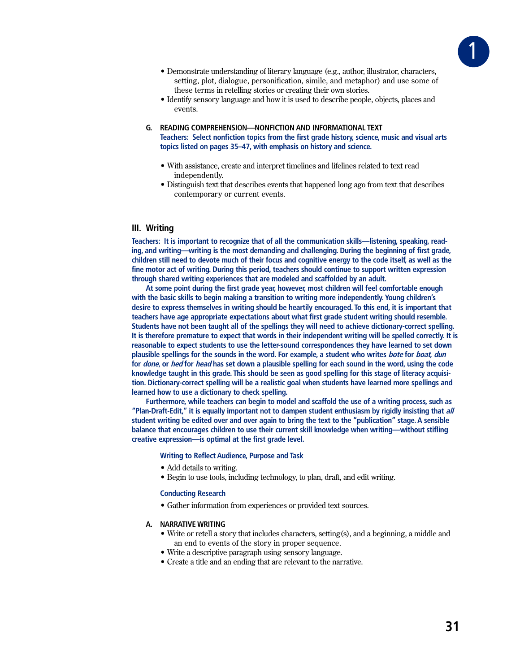

- Demonstrate understanding of literary language (e.g., author, illustrator, characters, setting, plot, dialogue, personification, simile, and metaphor) and use some of these terms in retelling stories or creating their own stories.
- Identify sensory language and how it is used to describe people, objects, places and events.
- **G. READING COMPREHENSION—NONFICTION AND INFORMATIONAL TEXT Teachers: Select nonfiction topics from the first grade history, science, music and visual arts topics listed on pages 35–47, with emphasis on history and science.**
	- With assistance, create and interpret timelines and lifelines related to text read independently.
	- Distinguish text that describes events that happened long ago from text that describes contemporary or current events.

## **III. Writing**

**Teachers: It is important to recognize that of all the communication skills—listening, speaking, reading, and writing—writing is the most demanding and challenging. During the beginning of first grade, children still need to devote much of their focus and cognitive energy to the code itself, as well as the fine motor act of writing. During this period, teachers should continue to support written expression through shared writing experiences that are modeled and scaffolded by an adult.** 

**At some point during the first grade year, however, most children will feel comfortable enough with the basic skills to begin making a transition to writing more independently. Young children's desire to express themselves in writing should be heartily encouraged. To this end, it is important that teachers have age appropriate expectations about what first grade student writing should resemble. Students have not been taught all of the spellings they will need to achieve dictionary-correct spelling. It is therefore premature to expect that words in their independent writing will be spelled correctly. It is reasonable to expect students to use the letter-sound correspondences they have learned to set down plausible spellings for the sounds in the word. For example, a student who writes bote for boat, dun for done, or hed for head has set down a plausible spelling for each sound in the word, using the code knowledge taught in this grade. This should be seen as good spelling for this stage of literacy acquisition. Dictionary-correct spelling will be a realistic goal when students have learned more spellings and learned how to use a dictionary to check spelling.** 

**Furthermore, while teachers can begin to model and scaffold the use of a writing process, such as "Plan-Draft-Edit," it is equally important not to dampen student enthusiasm by rigidly insisting that all student writing be edited over and over again to bring the text to the "publication" stage. A sensible balance that encourages children to use their current skill knowledge when writing—without stifling creative expression—is optimal at the first grade level.**

#### **Writing to Reflect Audience, Purpose and Task**

- Add details to writing.
- Begin to use tools, including technology, to plan, draft, and edit writing.

#### **Conducting Research**

• Gather information from experiences or provided text sources.

### **A. NARRATIVE WRITING**

- Write or retell a story that includes characters, setting(s), and a beginning, a middle and an end to events of the story in proper sequence.
- Write a descriptive paragraph using sensory language.
- Create a title and an ending that are relevant to the narrative.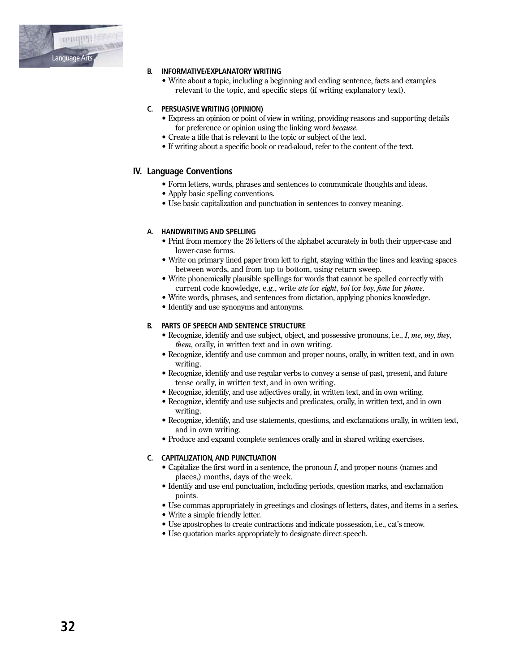

# **B. INFORMATIVE/EXPLANATORY WRITING**

• Write about a topic, including a beginning and ending sentence, facts and examples relevant to the topic, and specific steps (if writing explanatory text).

# C. PERSUASIVE WRITING (OPINION)

- Express an opinion or point of view in writing, providing reasons and supporting details for preference or opinion using the linking word because.
- Create a title that is relevant to the topic or subject of the text.
- If writing about a specific book or read-aloud, refer to the content of the text.

# **IV. Language Conventions**

- Form letters, words, phrases and sentences to communicate thoughts and ideas.
- Apply basic spelling conventions.
- Use basic capitalization and punctuation in sentences to convey meaning.

# A. HANDWRITING AND SPELLING

- Print from memory the 26 letters of the alphabet accurately in both their upper-case and lower-case forms.
- Write on primary lined paper from left to right, staying within the lines and leaving spaces between words, and from top to bottom, using return sweep.
- Write phonemically plausible spellings for words that cannot be spelled correctly with current code knowledge, e.g., write ate for eight, boi for boy, fone for phone.
- Write words, phrases, and sentences from dictation, applying phonics knowledge.
- Identify and use synonyms and antonyms.

# **B. PARTS OF SPEECH AND SENTENCE STRUCTURE**

- Recognize, identify and use subject, object, and possessive pronouns, i.e., I, me, my, they, *them*, orally, in written text and in own writing.
- Recognize, identify and use common and proper nouns, orally, in written text, and in own writing.
- Recognize, identify and use regular verbs to convey a sense of past, present, and future tense orally, in written text, and in own writing.
- Recognize, identify, and use adjectives orally, in written text, and in own writing.
- Recognize, identify and use subjects and predicates, orally, in written text, and in own writing.
- Recognize, identify, and use statements, questions, and exclamations orally, in written text, and in own writing.
- Produce and expand complete sentences orally and in shared writing exercises.

# C. CAPITALIZATION, AND PUNCTUATION

- Capitalize the first word in a sentence, the pronoun *I*, and proper nouns (names and places,) months, days of the week.
- Identify and use end punctuation, including periods, question marks, and exclamation points.
- Use commas appropriately in greetings and closings of letters, dates, and items in a series.
- Write a simple friendly letter.
- Use apostrophes to create contractions and indicate possession, i.e., cat's meow.
- Use quotation marks appropriately to designate direct speech.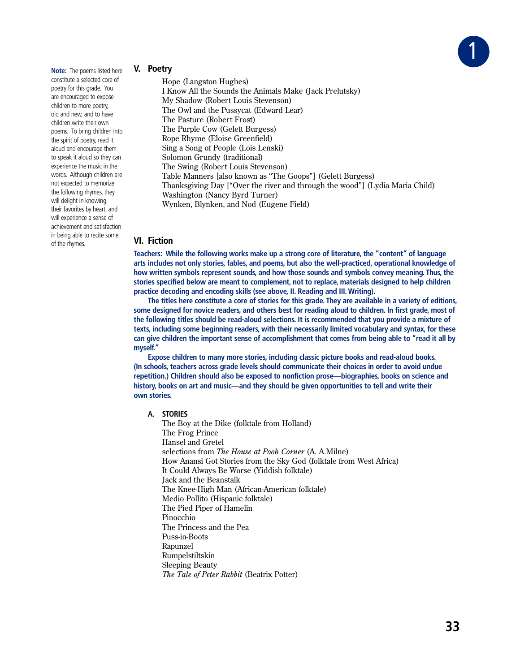

**Note:** The poems listed here constitute a selected core of poetry for this grade. You are encouraged to expose children to more poetry, old and new, and to have children write their own poems. To bring children into the spirit of poetry, read it aloud and encourage them to speak it aloud so they can experience the music in the words. Although children are not expected to memorize the following rhymes, they will delight in knowing their favorites by heart, and will experience a sense of achievement and satisfaction in being able to recite some of the rhymes.

# **V. Poetry**

Hope (Langston Hughes) I Know All the Sounds the Animals Make (Jack Prelutsky) My Shadow (Robert Louis Stevenson) The Owl and the Pussycat (Edward Lear) The Pasture (Robert Frost) The Purple Cow (Gelett Burgess) Rope Rhyme (Eloise Greenfield) Sing a Song of People (Lois Lenski) Solomon Grundy (traditional) The Swing (Robert Louis Stevenson) Table Manners [also known as "The Goops"] (Gelett Burgess) Thanksgiving Day ["Over the river and through the wood"] (Lydia Maria Child) Washington (Nancy Byrd Turner) Wynken, Blynken, and Nod (Eugene Field)

# **VI. Fiction**

**Teachers: While the following works make up a strong core of literature, the "content" of language arts includes not only stories, fables, and poems, but also the well-practiced, operational knowledge of how written symbols represent sounds, and how those sounds and symbols convey meaning. Thus, the stories specified below are meant to complement, not to replace, materials designed to help children practice decoding and encoding skills (see above, II. Reading and III. Writing).**

**The titles here constitute a core of stories for this grade. They are available in a variety of editions, some designed for novice readers, and others best for reading aloud to children. In first grade, most of the following titles should be read-aloud selections. It is recommended that you provide a mixture of texts, including some beginning readers, with their necessarily limited vocabulary and syntax, for these can give children the important sense of accomplishment that comes from being able to "read it all by myself."** 

**Expose children to many more stories, including classic picture books and read-aloud books. (In schools, teachers across grade levels should communicate their choices in order to avoid undue repetition.) Children should also be exposed to nonfiction prose—biographies, books on science and history, books on art and music—and they should be given opportunities to tell and write their own stories.**

**A. STORIES**

The Boy at the Dike (folktale from Holland) The Frog Prince Hansel and Gretel selections from *The House at Pooh Corner* (A. A.Milne) How Anansi Got Stories from the Sky God (folktale from West Africa) It Could Always Be Worse (Yiddish folktale) Jack and the Beanstalk The Knee-High Man (African-American folktale) Medio Pollito (Hispanic folktale) The Pied Piper of Hamelin Pinocchio The Princess and the Pea Puss-in-Boots Rapunzel Rumpelstiltskin Sleeping Beauty *The Tale of Peter Rabbit* (Beatrix Potter)